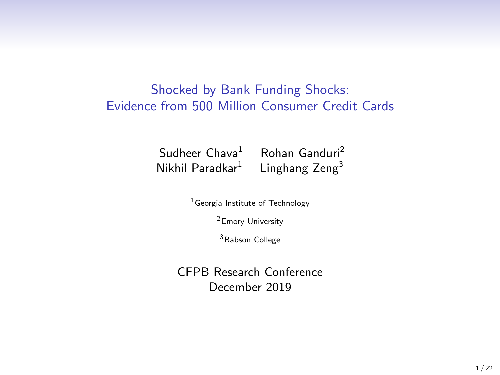#### Shocked by Bank Funding Shocks: Evidence from 500 Million Consumer Credit Cards

Sudheer  $Chava<sup>1</sup>$  Rohan Ganduri<sup>2</sup> Nikhil Paradkar<sup>1</sup> Linghang Zeng<sup>3</sup>

 $1$ Georgia Institute of Technology

<sup>2</sup>Emory University

<sup>3</sup>Babson College

CFPB Research Conference December 2019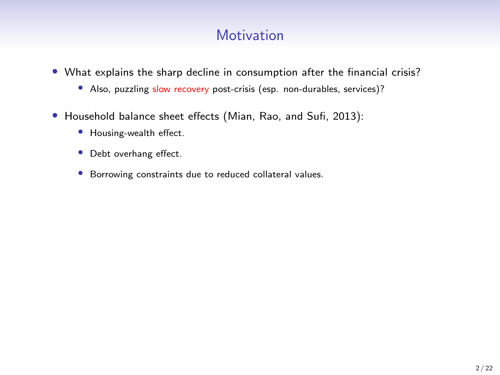# **Motivation**

- What explains the sharp decline in consumption after the financial crisis?
	- Also, puzzling slow recovery post-crisis (esp. non-durables, services)?
- Household balance sheet effects (Mian, Rao, and Sufi, 2013):
	- Housing-wealth effect.
	- Debt overhang effect.
	- Borrowing constraints due to reduced collateral values.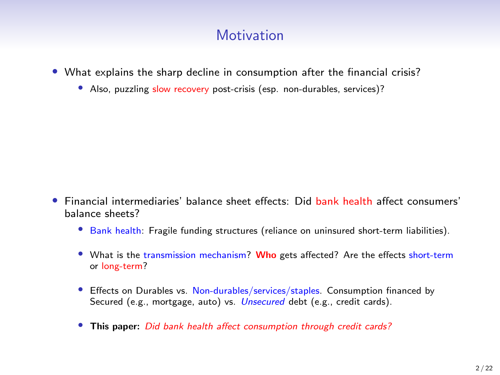## **Motivation**

- What explains the sharp decline in consumption after the financial crisis?
	- Also, puzzling slow recovery post-crisis (esp. non-durables, services)?

- Financial intermediaries' balance sheet effects: Did bank health affect consumers' balance sheets?
	- Bank health: Fragile funding structures (reliance on uninsured short-term liabilities).
	- What is the transmission mechanism? Who gets affected? Are the effects short-term or long-term?
	- Effects on Durables vs. Non-durables/services/staples. Consumption financed by Secured (e.g., mortgage, auto) vs. *Unsecured* debt (e.g., credit cards).
	- This paper: Did bank health affect consumption through credit cards?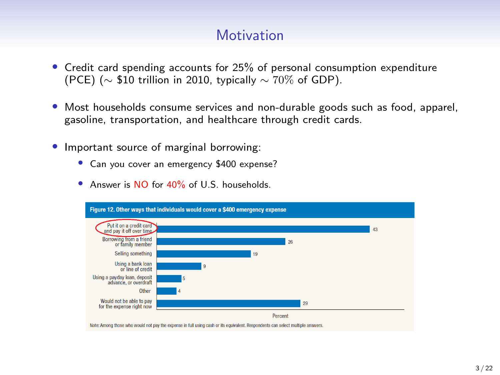### **Motivation**

- Credit card spending accounts for 25% of personal consumption expenditure (PCE) ( $\sim$  \$10 trillion in 2010, typically  $\sim$  70% of GDP).
- Most households consume services and non-durable goods such as food, apparel, gasoline, transportation, and healthcare through credit cards.
- Important source of marginal borrowing:
	- Can you cover an emergency \$400 expense?
	- Answer is NO for 40% of U.S. households.

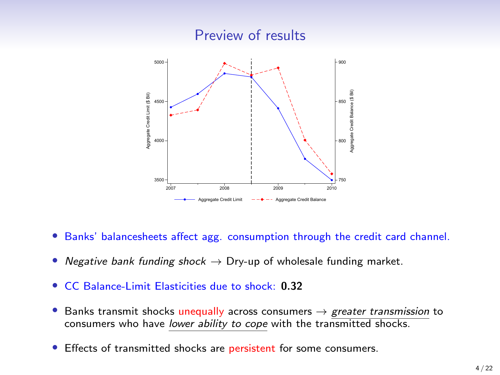

- Banks' balancesheets affect agg. consumption through the credit card channel.
- Negative bank funding shock  $\rightarrow$  Dry-up of wholesale funding market.
- CC Balance-Limit Elasticities due to shock: 0.32
- Banks transmit shocks unequally across consumers  $\rightarrow$  greater transmission to consumers who have lower ability to cope with the transmitted shocks.
- Effects of transmitted shocks are persistent for some consumers.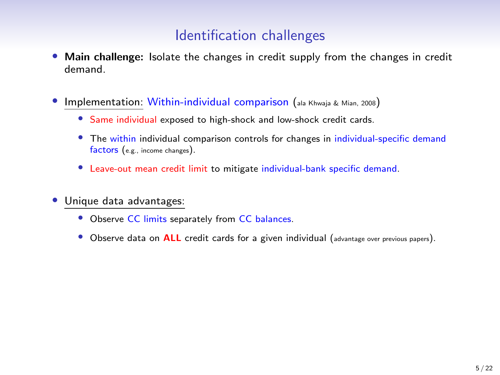## Identification challenges

- Main challenge: Isolate the changes in credit supply from the changes in credit demand.
- Implementation: Within-individual comparison (ala Khwaja & Mian, 2008)
	- Same individual exposed to high-shock and low-shock credit cards.
	- The within individual comparison controls for changes in individual-specific demand factors (e.g., income changes).
	- Leave-out mean credit limit to mitigate individual-bank specific demand.
- Unique data advantages:
	- Observe CC limits separately from CC balances.
	- Observe data on **ALL** credit cards for a given individual (advantage over previous papers).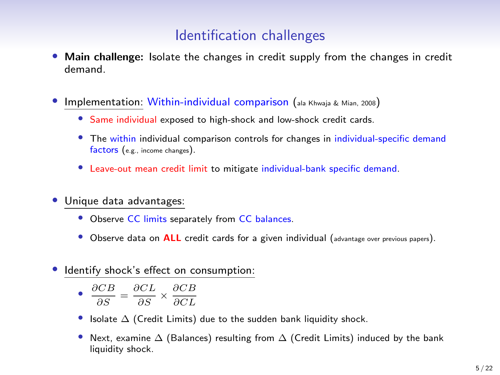#### Identification challenges

- Main challenge: Isolate the changes in credit supply from the changes in credit demand.
- Implementation: Within-individual comparison (ala Khwaja & Mian, 2008)
	- Same individual exposed to high-shock and low-shock credit cards.
	- The within individual comparison controls for changes in individual-specific demand factors (e.g., income changes).
	- Leave-out mean credit limit to mitigate individual-bank specific demand.
- Unique data advantages:
	- Observe CC limits separately from CC balances.
	- Observe data on **ALL** credit cards for a given individual (advantage over previous papers).
- Identify shock's effect on consumption:

$$
\bullet \ \frac{\partial CB}{\partial S} = \frac{\partial CL}{\partial S} \times \frac{\partial CB}{\partial CL}
$$

- Isolate ∆ (Credit Limits) due to the sudden bank liquidity shock.
- Next, examine  $\Delta$  (Balances) resulting from  $\Delta$  (Credit Limits) induced by the bank liquidity shock.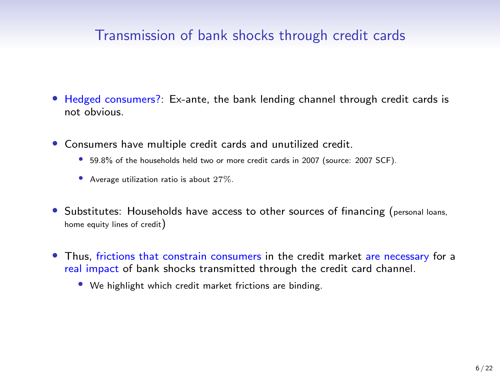#### Transmission of bank shocks through credit cards

- Hedged consumers?: Ex-ante, the bank lending channel through credit cards is not obvious.
- Consumers have multiple credit cards and unutilized credit.
	- 59.8% of the households held two or more credit cards in 2007 (source: 2007 SCF).
	- Average utilization ratio is about 27%.
- Substitutes: Households have access to other sources of financing (personal loans, home equity lines of credit)
- Thus, frictions that constrain consumers in the credit market are necessary for a real impact of bank shocks transmitted through the credit card channel.
	- We highlight which credit market frictions are binding.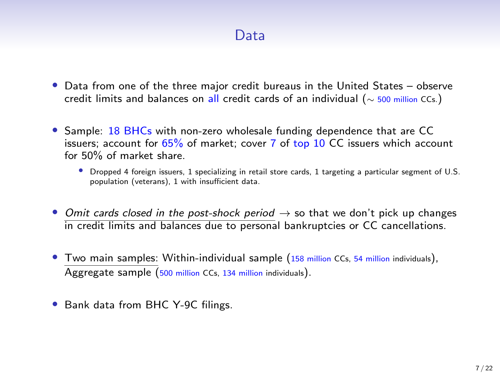#### Data

- Data from one of the three major credit bureaus in the United States observe credit limits and balances on all credit cards of an individual (∼ 500 million CCs.)
- Sample: 18 BHCs with non-zero wholesale funding dependence that are CC issuers; account for 65% of market; cover 7 of top 10 CC issuers which account for 50% of market share.
	- Dropped 4 foreign issuers, 1 specializing in retail store cards, 1 targeting a particular segment of U.S. population (veterans), 1 with insufficient data.
- Omit cards closed in the post-shock period  $\rightarrow$  so that we don't pick up changes in credit limits and balances due to personal bankruptcies or CC cancellations.
- Two main samples: Within-individual sample (158 million CCs, 54 million individuals), Aggregate sample (500 million CCs, 134 million individuals).
- Bank data from BHC Y-9C filings.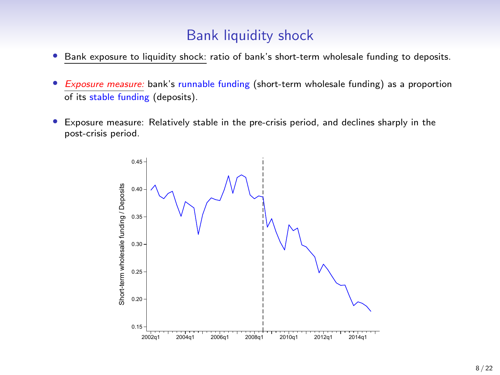#### Bank liquidity shock

- Bank exposure to liquidity shock: ratio of bank's short-term wholesale funding to deposits.
- Exposure measure: bank's runnable funding (short-term wholesale funding) as a proportion of its stable funding (deposits).
- Exposure measure: Relatively stable in the pre-crisis period, and declines sharply in the post-crisis period.

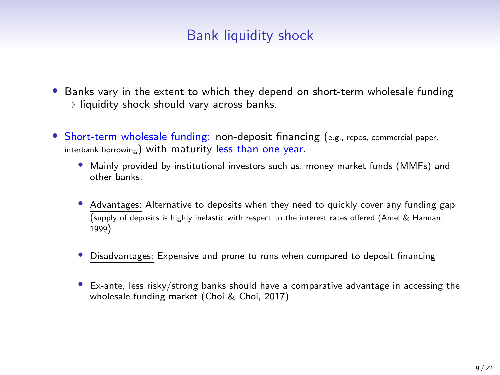# Bank liquidity shock

- Banks vary in the extent to which they depend on short-term wholesale funding  $\rightarrow$  liquidity shock should vary across banks.
- Short-term wholesale funding: non-deposit financing (e.g., repos, commercial paper, interbank borrowing) with maturity less than one year.
	- Mainly provided by institutional investors such as, money market funds (MMFs) and other banks.
	- Advantages: Alternative to deposits when they need to quickly cover any funding gap (supply of deposits is highly inelastic with respect to the interest rates offered (Amel & Hannan, 1999)
	- Disadvantages: Expensive and prone to runs when compared to deposit financing
	- Ex-ante, less risky/strong banks should have a comparative advantage in accessing the wholesale funding market (Choi & Choi, 2017)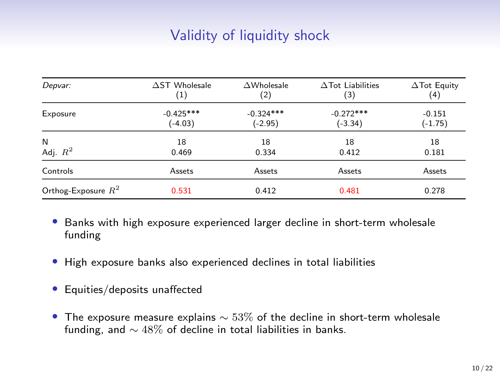# Validity of liquidity shock

| Depvar:               | $\Delta$ ST Wholesale | $\triangle$ Wholesale | $\Delta$ Tot Liabilities | $\Delta$ Tot Equity |
|-----------------------|-----------------------|-----------------------|--------------------------|---------------------|
|                       | $\left(1\right)$      | (2)                   | (3)                      | (4)                 |
| Exposure              | $-0.425***$           | $-0.324***$           | $-0.272***$              | $-0.151$            |
|                       | $(-4.03)$             | $(-2.95)$             | $(-3.34)$                | $(-1.75)$           |
| N                     | 18                    | 18                    | 18                       | 18                  |
| Adj. $R^2$            | 0.469                 | 0.334                 | 0.412                    | 0.181               |
| Controls              | Assets                | Assets                | Assets                   | Assets              |
| Orthog-Exposure $R^2$ | 0.531                 | 0.412                 | 0.481                    | 0.278               |

- Banks with high exposure experienced larger decline in short-term wholesale funding
- High exposure banks also experienced declines in total liabilities
- Equities/deposits unaffected
- The exposure measure explains  $\sim$  53% of the decline in short-term wholesale funding, and ∼ 48% of decline in total liabilities in banks.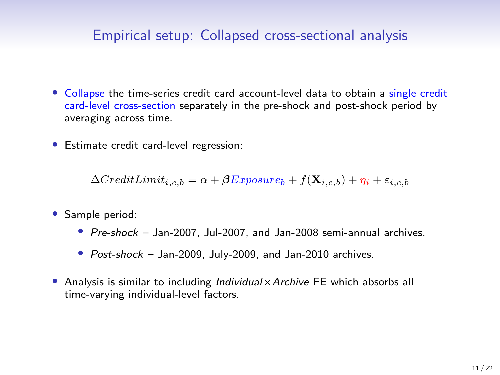#### Empirical setup: Collapsed cross-sectional analysis

- Collapse the time-series credit card account-level data to obtain a single credit card-level cross-section separately in the pre-shock and post-shock period by averaging across time.
- Estimate credit card-level regression:

 $\Delta CreditLimit_{i,c,b} = \alpha + \beta Expression_{i} + f(\mathbf{X}_{i,c,b}) + \eta_i + \varepsilon_{i,c,b}$ 

- Sample period:
	- Pre-shock Jan-2007, Jul-2007, and Jan-2008 semi-annual archives.
	- Post-shock Jan-2009, July-2009, and Jan-2010 archives.
- Analysis is similar to including Individual  $\times$  Archive FE which absorbs all time-varying individual-level factors.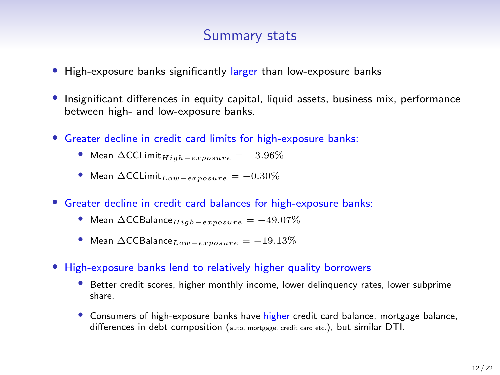#### Summary stats

- High-exposure banks significantly larger than low-exposure banks
- Insignificant differences in equity capital, liquid assets, business mix, performance between high- and low-exposure banks.
- Greater decline in credit card limits for high-exposure banks:
	- Mean  $\Delta$ CCLimit<sub>High</sub> $=$ exposure  $= -3.96\%$
	- Mean  $\Delta$ CCLimit<sub>Low−exposure</sub> =  $-0.30\%$
- Greater decline in credit card balances for high-exposure banks:
	- Mean  $\Delta$ CCBalance  $H_{iab}$  exposure  $= -49.07\%$
	- Mean  $\Delta$ CCBalance<sub>Low−exposure</sub> = -19.13%
- High-exposure banks lend to relatively higher quality borrowers
	- Better credit scores, higher monthly income, lower delinguency rates, lower subprime share.
	- Consumers of high-exposure banks have higher credit card balance, mortgage balance, differences in debt composition (auto, mortgage, credit card etc.), but similar DTI.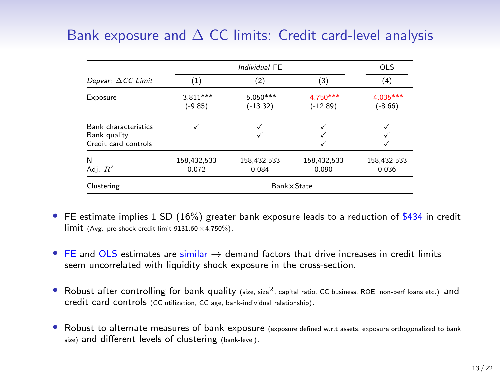# Bank exposure and  $\Delta$  CC limits: Credit card-level analysis

|                                                                     |                          | Individual FE             |                           |                          |  |  |  |
|---------------------------------------------------------------------|--------------------------|---------------------------|---------------------------|--------------------------|--|--|--|
| Depvar: $\Delta CC$ Limit                                           | (1)                      | (2)                       | (3)                       | (4)                      |  |  |  |
| Exposure                                                            | $-3.811***$<br>$(-9.85)$ | $-5.050***$<br>$(-13.32)$ | $-4.750***$<br>$(-12.89)$ | $-4.035***$<br>$(-8.66)$ |  |  |  |
| <b>Bank characteristics</b><br>Bank quality<br>Credit card controls |                          |                           |                           |                          |  |  |  |
| N<br>Adj. $R^2$                                                     | 158,432,533<br>0.072     | 158.432.533<br>0.084      | 158,432,533<br>0.090      | 158,432,533<br>0.036     |  |  |  |
| Clustering                                                          |                          | $Bank \times State$       |                           |                          |  |  |  |

- FE estimate implies 1 SD (16%) greater bank exposure leads to a reduction of \$434 in credit  $\lim$ it (Avg. pre-shock credit limit  $9131.60 \times 4.750\%$ ).
- FE and OLS estimates are similar  $\rightarrow$  demand factors that drive increases in credit limits seem uncorrelated with liquidity shock exposure in the cross-section.
- Robust after controlling for bank quality (size, size<sup>2</sup>, capital ratio, CC business, ROE, non-perf loans etc.) and credit card controls (CC utilization, CC age, bank-individual relationship).
- Robust to alternate measures of bank exposure (exposure defined w.r.t assets, exposure orthogonalized to bank size) and different levels of clustering (bank-level).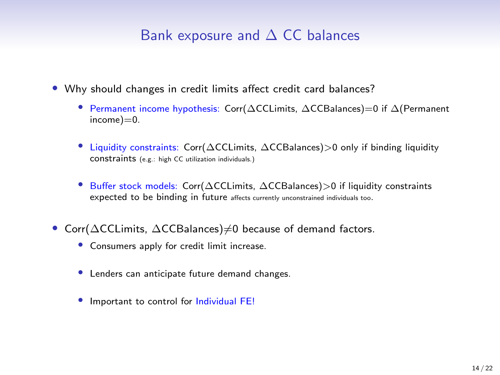#### Bank exposure and  $\Delta$  CC balances

- Why should changes in credit limits affect credit card balances?
	- Permanent income hypothesis: Corr(∆CCLimits, ∆CCBalances)=0 if ∆(Permanent  $income$ ) $=0$ .
	- Liquidity constraints: Corr(∆CCLimits, ∆CCBalances)>0 only if binding liquidity constraints (e.g.: high CC utilization individuals.)
	- Buffer stock models: Corr(∆CCLimits, ∆CCBalances)>0 if liquidity constraints expected to be binding in future affects currently unconstrained individuals too.
- Corr(∆CCLimits, ∆CCBalances)≠0 because of demand factors.
	- Consumers apply for credit limit increase.
	- Lenders can anticipate future demand changes.
	- Important to control for Individual FE!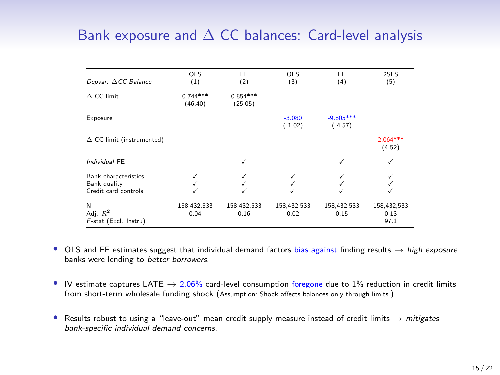# Bank exposure and  $\Delta$  CC balances: Card-level analysis

| Depvar: ACC Balance                                          | <b>OLS</b><br>(1)     | FE<br>(2)             | <b>OLS</b><br>(3)     | <b>FE</b><br>(4)         | 2SLS<br>(5)                 |
|--------------------------------------------------------------|-----------------------|-----------------------|-----------------------|--------------------------|-----------------------------|
| $\Delta$ CC limit                                            | $0.744***$<br>(46.40) | $0.854***$<br>(25.05) |                       |                          |                             |
| Exposure                                                     |                       |                       | $-3.080$<br>$(-1.02)$ | $-9.805***$<br>$(-4.57)$ |                             |
| $\Delta$ CC limit (instrumented)                             |                       |                       |                       |                          | $2.064***$<br>(4.52)        |
| Individual FE                                                |                       | ✓                     |                       | ✓                        |                             |
| Bank characteristics<br>Bank quality<br>Credit card controls |                       |                       |                       |                          |                             |
| N<br>Adj. $R^2$<br>F-stat (Excl. Instru)                     | 158,432,533<br>0.04   | 158,432,533<br>0.16   | 158,432,533<br>0.02   | 158,432,533<br>0.15      | 158,432,533<br>0.13<br>97.1 |

- OLS and FE estimates suggest that individual demand factors bias against finding results  $\rightarrow$  high exposure banks were lending to better borrowers.
- IV estimate captures LATE  $\rightarrow$  2.06% card-level consumption foregone due to 1% reduction in credit limits from short-term wholesale funding shock (Assumption: Shock affects balances only through limits.)
- Results robust to using a "leave-out" mean credit supply measure instead of credit limits  $\rightarrow$  mitigates bank-specific individual demand concerns.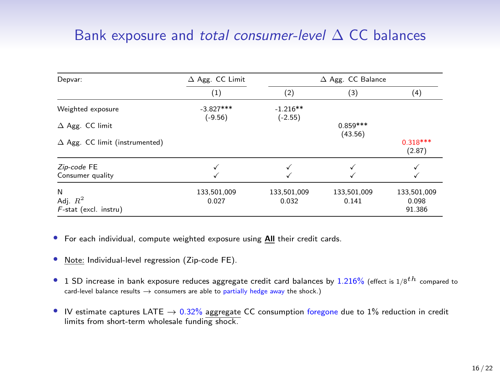# Bank exposure and total consumer-level  $\Delta$  CC balances

| Depvar:                                | $\Delta$ Agg. CC Limit   |                         | $\Delta$ Agg. CC Balance |                      |  |
|----------------------------------------|--------------------------|-------------------------|--------------------------|----------------------|--|
|                                        | (1)                      | (2)                     | (3)                      | (4)                  |  |
| Weighted exposure                      | $-3.827***$<br>$(-9.56)$ | $-1.216**$<br>$(-2.55)$ |                          |                      |  |
| $\Delta$ Agg. CC limit                 |                          |                         | $0.859***$<br>(43.56)    |                      |  |
| $\Delta$ Agg. CC limit (instrumented)  |                          |                         |                          | $0.318***$<br>(2.87) |  |
| Zip-code FE                            |                          |                         |                          |                      |  |
| Consumer quality                       |                          |                         |                          |                      |  |
| N                                      | 133,501,009              | 133,501,009             | 133,501,009              | 133,501,009          |  |
| Adj. $R^2$<br>$F$ -stat (excl. instru) | 0.027                    | 0.032                   | 0.141                    | 0.098<br>91.386      |  |

• For each individual, compute weighted exposure using All their credit cards.

- Note: Individual-level regression (Zip-code FE).
- 1 SD increase in bank exposure reduces aggregate credit card balances by 1.216% (effect is  $1/8$ <sup>th</sup> compared to card-level balance results  $\rightarrow$  consumers are able to partially hedge away the shock.)
- IV estimate captures LATE  $\rightarrow$  0.32% aggregate CC consumption foregone due to 1% reduction in credit limits from short-term wholesale funding shock.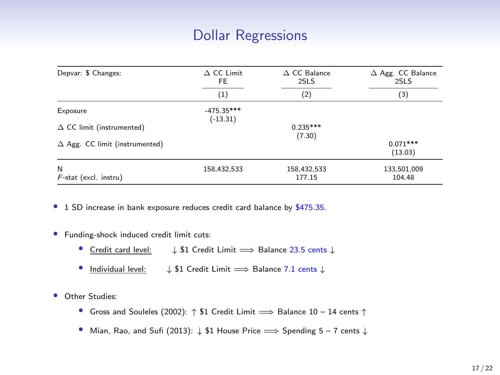# Dollar Regressions

| Depvar: \$ Changes:                   | $\triangle$ CC Limit<br>FE. | $\Delta$ CC Balance<br>2SLS | $\Delta$ Agg. CC Balance<br>2SLS |
|---------------------------------------|-----------------------------|-----------------------------|----------------------------------|
|                                       | $_{(1)}$                    | (2)                         | (3)                              |
| Exposure                              | $-475.35***$<br>$(-13.31)$  |                             |                                  |
| $\Delta$ CC limit (instrumented)      |                             | $0.235***$<br>(7.30)        |                                  |
| $\Delta$ Agg. CC limit (instrumented) |                             |                             | $0.071***$<br>(13.03)            |
| N<br>$F$ -stat (excl. instru)         | 158,432,533                 | 158,432,533<br>177.15       | 133,501,009<br>104.48            |

• 1 SD increase in bank exposure reduces credit card balance by \$475.35.

- Funding-shock induced credit limit cuts:
	- Credit card level: ↓ \$1 Credit Limit =⇒ Balance 23.5 cents ↓
	- Individual level: ↓ \$1 Credit Limit =⇒ Balance 7.1 cents ↓
- Other Studies:
	- Gross and Souleles (2002):  $\uparrow$  \$1 Credit Limit  $\Longrightarrow$  Balance 10 14 cents  $\uparrow$
	- Mian, Rao, and Sufi (2013): ↓ \$1 House Price =⇒ Spending 5 7 cents ↓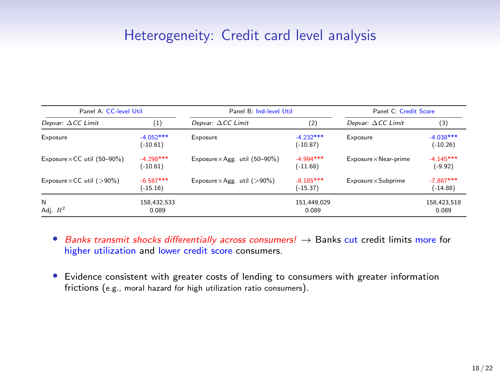#### Heterogeneity: Credit card level analysis

| Panel A: CC-level Util<br>Panel B: Ind-level Util |                            |                                         | Panel C: Credit Score     |                              |                           |
|---------------------------------------------------|----------------------------|-----------------------------------------|---------------------------|------------------------------|---------------------------|
| Depvar: $\Delta CC$ Limit                         | (1)                        | Depvar: $\Delta CC$ Limit               | (2)                       | Depvar: $\Delta CC$ Limit    | (3)                       |
| Exposure                                          | $-4.052***$<br>$(-10.61)$  | Exposure                                | $-4.232***$<br>$(-10.87)$ | Exposure                     | $-4.038***$<br>$(-10.26)$ |
| Exposure $\times$ CC util (50-90%)                | $-4.298$ ***<br>$(-10.61)$ | Exposure $\times$ Agg. util (50-90%)    | $-4.994***$<br>$(-11.68)$ | $Exposure \times Near-prime$ | $-4.145***$<br>$(-9.92)$  |
| Exposure $\times$ CC util ( $>90\%$ )             | $-6.587***$<br>$(-15.16)$  | Exposure $\times$ Agg. util ( $>90\%$ ) | $-8.185***$<br>$(-15.37)$ | Exposure × Subprime          | $-7.887***$<br>$(-14.88)$ |
| N<br>Adj. $R^2$                                   | 158.432.533<br>0.089       |                                         | 151.449.029<br>0.089      |                              | 158,423,518<br>0.089      |

- Banks transmit shocks differentially across consumers!  $\rightarrow$  Banks cut credit limits more for higher utilization and lower credit score consumers.
- Evidence consistent with greater costs of lending to consumers with greater information frictions (e.g., moral hazard for high utilization ratio consumers).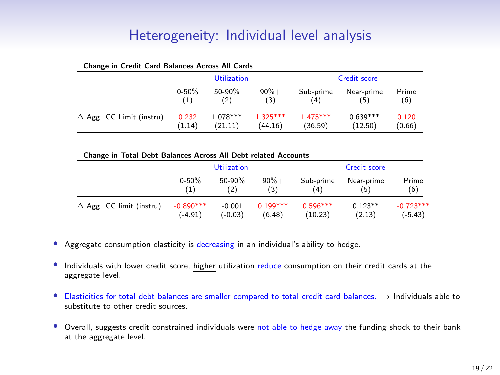# Heterogeneity: Individual level analysis

| enange in ercant eard Bananeco ricroso rin eards | <b>Utilization</b> |            |            |            | <b>Credit score</b> |        |
|--------------------------------------------------|--------------------|------------|------------|------------|---------------------|--------|
|                                                  | $0 - 50%$          | 50-90%     | $90% +$    | Sub-prime  | Near-prime          | Prime  |
|                                                  | (1)                | (2)        | (3)        | (4)        | (5)                 | (6)    |
| $\Delta$ Agg. CC Limit (instru)                  | 0.232              | $1.078***$ | $1.325***$ | $1.475***$ | $0.639***$          | 0.120  |
|                                                  | (1.14)             | (21.11)    | (44.16)    | (36.59)    | (12.50)             | (0.66) |

#### Change in Credit Card Balances Across All Cards

|  | Change in Total Debt Balances Across All Debt-related Accounts |
|--|----------------------------------------------------------------|
|--|----------------------------------------------------------------|

|                                 | <b>Utilization</b> |           |            |            | Credit score |             |
|---------------------------------|--------------------|-----------|------------|------------|--------------|-------------|
|                                 | $0 - 50%$          | 50-90%    | $90% +$    | Sub-prime  | Near-prime   | Prime       |
|                                 | (1)                | (2)       | (3)        | (4)        | (5)          | (6)         |
| $\Delta$ Agg. CC limit (instru) | $-0.890***$        | $-0.001$  | $0.199***$ | $0.596***$ | $0.123**$    | $-0.723***$ |
|                                 | $(-4.91)$          | $(-0.03)$ | (6.48)     | (10.23)    | (2.13)       | $(-5.43)$   |

- Aggregate consumption elasticity is decreasing in an individual's ability to hedge.
- Individuals with lower credit score, higher utilization reduce consumption on their credit cards at the aggregate level.
- Elasticities for total debt balances are smaller compared to total credit card balances. → Individuals able to substitute to other credit sources.
- Overall, suggests credit constrained individuals were not able to hedge away the funding shock to their bank at the aggregate level.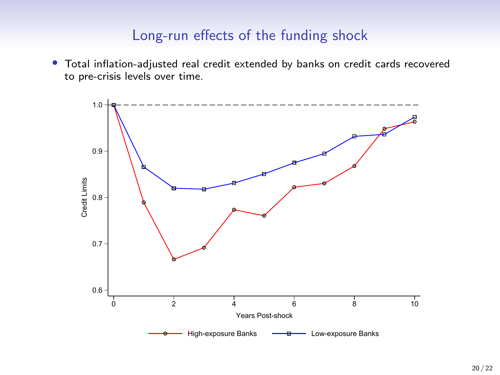#### Long-run effects of the funding shock

• Total inflation-adjusted real credit extended by banks on credit cards recovered to pre-crisis levels over time.

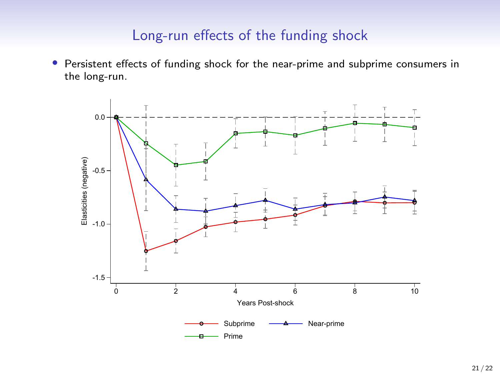#### Long-run effects of the funding shock

• Persistent effects of funding shock for the near-prime and subprime consumers in the long-run.